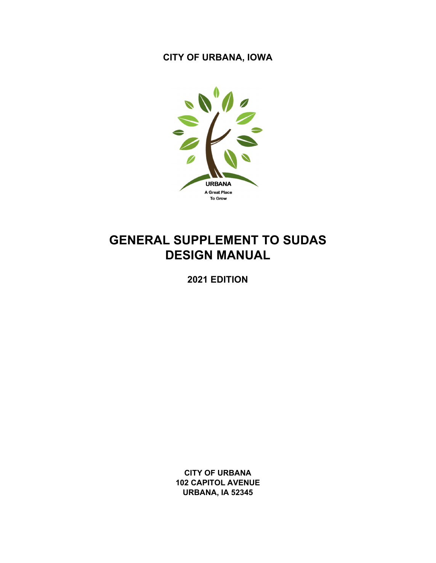**CITY OF URBANA, IOWA** 



# **GENERAL SUPPLEMENT TO SUDAS DESIGN MANUAL**

**2021 EDITION** 

**CITY OF URBANA 102 CAPITOL AVENUE URBANA, IA 52345**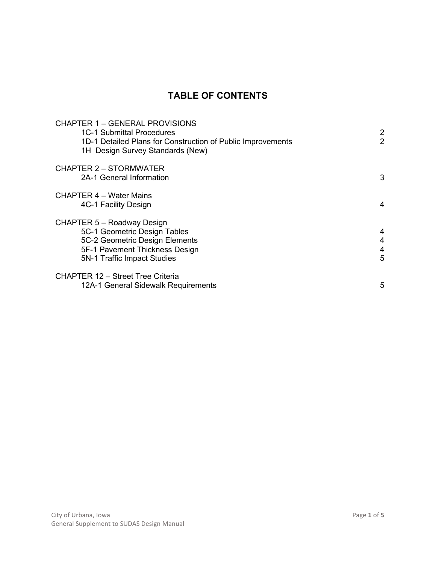## **TABLE OF CONTENTS**

| <b>CHAPTER 1 - GENERAL PROVISIONS</b><br>1C-1 Submittal Procedures<br>1D-1 Detailed Plans for Construction of Public Improvements<br>1H Design Survey Standards (New) | $\overline{2}$<br>$\overline{2}$ |  |
|-----------------------------------------------------------------------------------------------------------------------------------------------------------------------|----------------------------------|--|
| <b>CHAPTER 2 - STORMWATER</b><br>2A-1 General Information                                                                                                             | 3                                |  |
| <b>CHAPTER 4 – Water Mains</b><br>4C-1 Facility Design                                                                                                                | 4                                |  |
| CHAPTER 5 - Roadway Design<br>5C-1 Geometric Design Tables<br>5C-2 Geometric Design Elements<br>5F-1 Pavement Thickness Design<br>5N-1 Traffic Impact Studies         | 4<br>4<br>4<br>5                 |  |
| <b>CHAPTER 12 - Street Tree Criteria</b><br>12A-1 General Sidewalk Requirements                                                                                       | 5                                |  |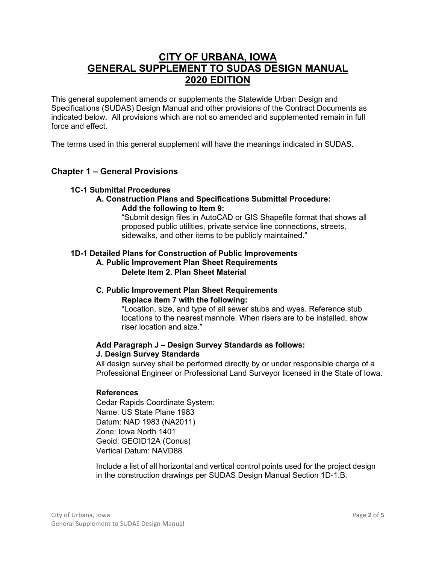## **CITY OF URBANA, IOWA GENERAL SUPPLEMENT TO SUDAS DESIGN MANUAL 2020 EDITION**

This general supplement amends or supplements the Statewide Urban Design and Specifications (SUDAS) Design Manual and other provisions of the Contract Documents as indicated below. All provisions which are not so amended and supplemented remain in full force and effect.

The terms used in this general supplement will have the meanings indicated in SUDAS.

## **Chapter 1 – General Provisions**

#### **1C-1 Submittal Procedures**

#### **A. Construction Plans and Specifications Submittal Procedure: Add the following to Item 9:**

"Submit design files in AutoCAD or GIS Shapefile format that shows all proposed public utilities, private service line connections, streets, sidewalks, and other items to be publicly maintained."

## **1D-1 Detailed Plans for Construction of Public Improvements**

## **A. Public Improvement Plan Sheet Requirements Delete Item 2. Plan Sheet Material**

#### **C. Public Improvement Plan Sheet Requirements Replace item 7 with the following:**

"Location, size, and type of all sewer stubs and wyes. Reference stub locations to the nearest manhole. When risers are to be installed, show riser location and size."

#### **Add Paragraph J – Design Survey Standards as follows: J. Design Survey Standards**

All design survey shall be performed directly by or under responsible charge of a Professional Engineer or Professional Land Surveyor licensed in the State of Iowa.

## **References**

Cedar Rapids Coordinate System: Name: US State Plane 1983 Datum: NAD 1983 (NA2011) Zone: Iowa North 1401 Geoid: GEOID12A (Conus) Vertical Datum: NAVD88

Include a list of all horizontal and vertical control points used for the project design in the construction drawings per SUDAS Design Manual Section 1D-1.B.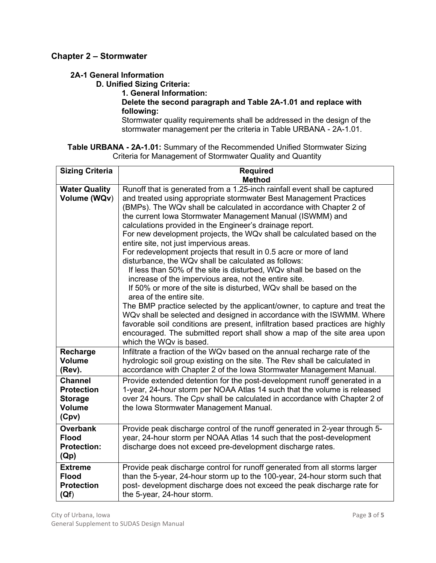## **Chapter 2 – Stormwater**

## **2A-1 General Information**

**D. Unified Sizing Criteria:** 

**1. General Information:** 

## **Delete the second paragraph and Table 2A-1.01 and replace with following:**

Stormwater quality requirements shall be addressed in the design of the stormwater management per the criteria in Table URBANA - 2A-1.01.

## **Table URBANA - 2A-1.01:** Summary of the Recommended Unified Stormwater Sizing Criteria for Management of Stormwater Quality and Quantity

| <b>Sizing Criteria</b>                                                          | <b>Required</b>                                                                                                                                                                                                                                                                                                                                                                                                                                                                                                                                                                                                                                                                                                                                                                                                                                                                                                                                                                                                                                                                                                                                                                        |  |  |  |  |  |  |
|---------------------------------------------------------------------------------|----------------------------------------------------------------------------------------------------------------------------------------------------------------------------------------------------------------------------------------------------------------------------------------------------------------------------------------------------------------------------------------------------------------------------------------------------------------------------------------------------------------------------------------------------------------------------------------------------------------------------------------------------------------------------------------------------------------------------------------------------------------------------------------------------------------------------------------------------------------------------------------------------------------------------------------------------------------------------------------------------------------------------------------------------------------------------------------------------------------------------------------------------------------------------------------|--|--|--|--|--|--|
|                                                                                 | <b>Method</b>                                                                                                                                                                                                                                                                                                                                                                                                                                                                                                                                                                                                                                                                                                                                                                                                                                                                                                                                                                                                                                                                                                                                                                          |  |  |  |  |  |  |
| <b>Water Quality</b><br>Volume (WQv)                                            | Runoff that is generated from a 1.25-inch rainfall event shall be captured<br>and treated using appropriate stormwater Best Management Practices<br>(BMPs). The WQv shall be calculated in accordance with Chapter 2 of<br>the current Iowa Stormwater Management Manual (ISWMM) and<br>calculations provided in the Engineer's drainage report.<br>For new development projects, the WQv shall be calculated based on the<br>entire site, not just impervious areas.<br>For redevelopment projects that result in 0.5 acre or more of land<br>disturbance, the WQv shall be calculated as follows:<br>If less than 50% of the site is disturbed, WQv shall be based on the<br>increase of the impervious area, not the entire site.<br>If 50% or more of the site is disturbed, WQv shall be based on the<br>area of the entire site.<br>The BMP practice selected by the applicant/owner, to capture and treat the<br>WQv shall be selected and designed in accordance with the ISWMM. Where<br>favorable soil conditions are present, infiltration based practices are highly<br>encouraged. The submitted report shall show a map of the site area upon<br>which the WQv is based. |  |  |  |  |  |  |
| Recharge<br><b>Volume</b><br>(Rev).                                             | Infiltrate a fraction of the WQv based on the annual recharge rate of the<br>hydrologic soil group existing on the site. The Rev shall be calculated in<br>accordance with Chapter 2 of the Iowa Stormwater Management Manual.                                                                                                                                                                                                                                                                                                                                                                                                                                                                                                                                                                                                                                                                                                                                                                                                                                                                                                                                                         |  |  |  |  |  |  |
| <b>Channel</b><br><b>Protection</b><br><b>Storage</b><br><b>Volume</b><br>(Cpv) | Provide extended detention for the post-development runoff generated in a<br>1-year, 24-hour storm per NOAA Atlas 14 such that the volume is released<br>over 24 hours. The Cpv shall be calculated in accordance with Chapter 2 of<br>the Iowa Stormwater Management Manual.                                                                                                                                                                                                                                                                                                                                                                                                                                                                                                                                                                                                                                                                                                                                                                                                                                                                                                          |  |  |  |  |  |  |
| <b>Overbank</b><br><b>Flood</b><br><b>Protection:</b><br>(Qp)                   | Provide peak discharge control of the runoff generated in 2-year through 5-<br>year, 24-hour storm per NOAA Atlas 14 such that the post-development<br>discharge does not exceed pre-development discharge rates.                                                                                                                                                                                                                                                                                                                                                                                                                                                                                                                                                                                                                                                                                                                                                                                                                                                                                                                                                                      |  |  |  |  |  |  |
| <b>Extreme</b><br><b>Flood</b><br><b>Protection</b><br>(Qf)                     | Provide peak discharge control for runoff generated from all storms larger<br>than the 5-year, 24-hour storm up to the 100-year, 24-hour storm such that<br>post- development discharge does not exceed the peak discharge rate for<br>the 5-year, 24-hour storm.                                                                                                                                                                                                                                                                                                                                                                                                                                                                                                                                                                                                                                                                                                                                                                                                                                                                                                                      |  |  |  |  |  |  |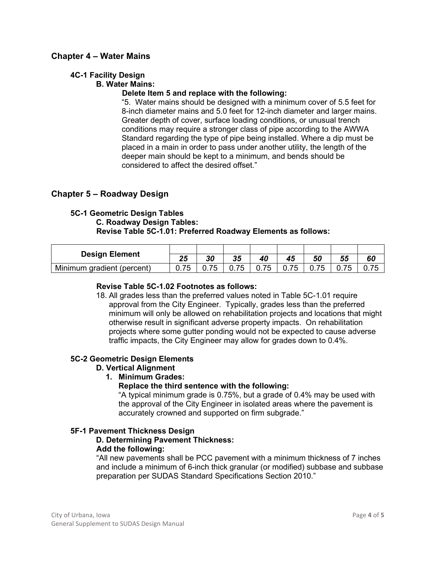## **Chapter 4 – Water Mains**

#### **4C-1 Facility Design**

#### **B. Water Mains:**

## **Delete Item 5 and replace with the following:**

"5. Water mains should be designed with a minimum cover of 5.5 feet for 8-inch diameter mains and 5.0 feet for 12-inch diameter and larger mains. Greater depth of cover, surface loading conditions, or unusual trench conditions may require a stronger class of pipe according to the AWWA Standard regarding the type of pipe being installed. Where a dip must be placed in a main in order to pass under another utility, the length of the deeper main should be kept to a minimum, and bends should be considered to affect the desired offset."

## **Chapter 5 – Roadway Design**

#### **5C-1 Geometric Design Tables C. Roadway Design Tables: Revise Table 5C-1.01: Preferred Roadway Elements as follows:**

| <b>Design Element</b>      | ク斥<br>ZŪ | 30 | クド<br>JJ     | 40         |            | 50     | 55            | 60 |
|----------------------------|----------|----|--------------|------------|------------|--------|---------------|----|
| Minimum gradient (percent) | 75       | フ斥 | フド<br>U. 7 J | フ斥<br>U.75 | フ斥<br>0.75 | U. I J | 7 E<br>U. I J |    |

#### **Revise Table 5C-1.02 Footnotes as follows:**

18. All grades less than the preferred values noted in Table 5C-1.01 require approval from the City Engineer. Typically, grades less than the preferred minimum will only be allowed on rehabilitation projects and locations that might otherwise result in significant adverse property impacts. On rehabilitation projects where some gutter ponding would not be expected to cause adverse traffic impacts, the City Engineer may allow for grades down to 0.4%.

## **5C-2 Geometric Design Elements**

#### **D. Vertical Alignment**

#### **1. Minimum Grades:**

#### **Replace the third sentence with the following:**

"A typical minimum grade is 0.75%, but a grade of 0.4% may be used with the approval of the City Engineer in isolated areas where the pavement is accurately crowned and supported on firm subgrade."

#### **5F-1 Pavement Thickness Design**

#### **D. Determining Pavement Thickness: Add the following:**

"All new pavements shall be PCC pavement with a minimum thickness of 7 inches and include a minimum of 6-inch thick granular (or modified) subbase and subbase preparation per SUDAS Standard Specifications Section 2010."